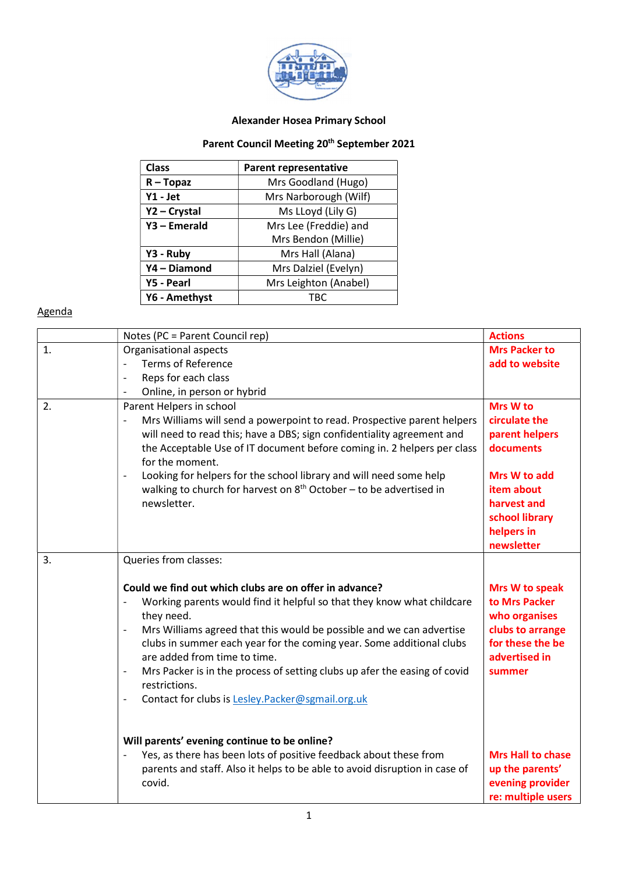

## Alexander Hosea Primary School

## Parent Council Meeting 20<sup>th</sup> September 2021

| <b>Class</b>  | <b>Parent representative</b>               |  |
|---------------|--------------------------------------------|--|
| $R - Topaz$   | Mrs Goodland (Hugo)                        |  |
| Y1 - Jet      | Mrs Narborough (Wilf)<br>Ms LLoyd (Lily G) |  |
| Y2 - Crystal  |                                            |  |
| Y3 - Emerald  | Mrs Lee (Freddie) and                      |  |
|               | Mrs Bendon (Millie)                        |  |
| Y3 - Ruby     | Mrs Hall (Alana)                           |  |
| Y4-Diamond    | Mrs Dalziel (Evelyn)                       |  |
| Y5 - Pearl    | Mrs Leighton (Anabel)                      |  |
| Y6 - Amethyst | TRC                                        |  |

## Agenda

|    | Notes (PC = Parent Council rep)                                                                                                                                                                                                                                                                                                                                                                                                                                                                       | <b>Actions</b>                                                                                                      |
|----|-------------------------------------------------------------------------------------------------------------------------------------------------------------------------------------------------------------------------------------------------------------------------------------------------------------------------------------------------------------------------------------------------------------------------------------------------------------------------------------------------------|---------------------------------------------------------------------------------------------------------------------|
| 1. | Organisational aspects                                                                                                                                                                                                                                                                                                                                                                                                                                                                                | <b>Mrs Packer to</b>                                                                                                |
|    | <b>Terms of Reference</b><br>$\overline{\phantom{m}}$                                                                                                                                                                                                                                                                                                                                                                                                                                                 | add to website                                                                                                      |
|    | Reps for each class<br>$\overline{\phantom{a}}$                                                                                                                                                                                                                                                                                                                                                                                                                                                       |                                                                                                                     |
|    | Online, in person or hybrid<br>$\overline{\phantom{a}}$                                                                                                                                                                                                                                                                                                                                                                                                                                               |                                                                                                                     |
| 2. | Parent Helpers in school<br>Mrs Williams will send a powerpoint to read. Prospective parent helpers<br>will need to read this; have a DBS; sign confidentiality agreement and<br>the Acceptable Use of IT document before coming in. 2 helpers per class<br>for the moment.                                                                                                                                                                                                                           | Mrs W to<br>circulate the<br>parent helpers<br>documents                                                            |
|    | Looking for helpers for the school library and will need some help<br>$\overline{\phantom{a}}$<br>walking to church for harvest on $8th$ October – to be advertised in<br>newsletter.                                                                                                                                                                                                                                                                                                                 | Mrs W to add<br>item about<br>harvest and<br>school library<br>helpers in<br>newsletter                             |
| 3. | Queries from classes:                                                                                                                                                                                                                                                                                                                                                                                                                                                                                 |                                                                                                                     |
|    | Could we find out which clubs are on offer in advance?<br>Working parents would find it helpful so that they know what childcare<br>they need.<br>Mrs Williams agreed that this would be possible and we can advertise<br>$\qquad \qquad -$<br>clubs in summer each year for the coming year. Some additional clubs<br>are added from time to time.<br>Mrs Packer is in the process of setting clubs up afer the easing of covid<br>restrictions.<br>Contact for clubs is Lesley.Packer@sgmail.org.uk | Mrs W to speak<br>to Mrs Packer<br>who organises<br>clubs to arrange<br>for these the be<br>advertised in<br>summer |
|    | Will parents' evening continue to be online?<br>Yes, as there has been lots of positive feedback about these from<br>parents and staff. Also it helps to be able to avoid disruption in case of<br>covid.                                                                                                                                                                                                                                                                                             | <b>Mrs Hall to chase</b><br>up the parents'<br>evening provider<br>re: multiple users                               |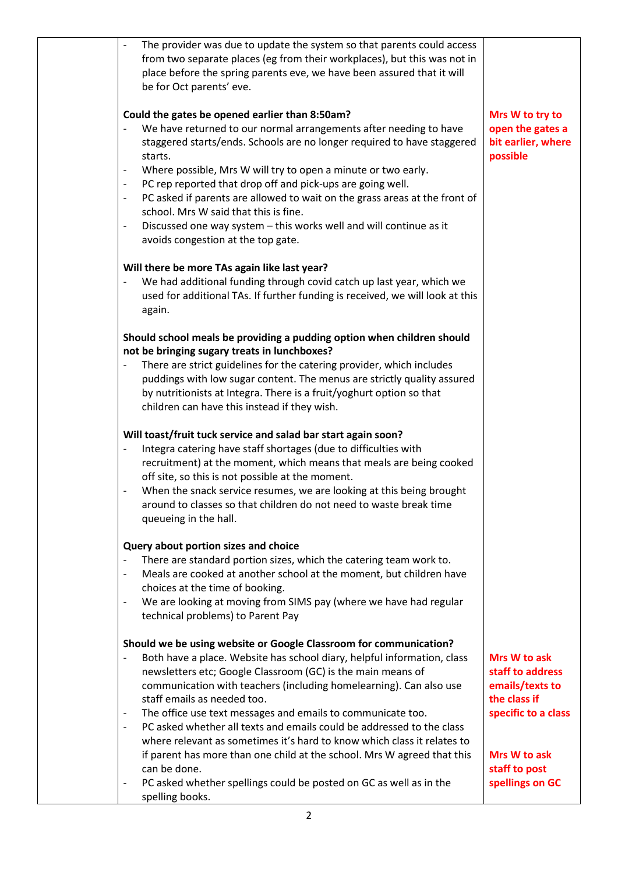| The provider was due to update the system so that parents could access<br>from two separate places (eg from their workplaces), but this was not in<br>place before the spring parents eve, we have been assured that it will<br>be for Oct parents' eve.                                                                                                                                                                                                                                                                                                                                                                                                                                                                        |                                                                                            |
|---------------------------------------------------------------------------------------------------------------------------------------------------------------------------------------------------------------------------------------------------------------------------------------------------------------------------------------------------------------------------------------------------------------------------------------------------------------------------------------------------------------------------------------------------------------------------------------------------------------------------------------------------------------------------------------------------------------------------------|--------------------------------------------------------------------------------------------|
| Could the gates be opened earlier than 8:50am?<br>We have returned to our normal arrangements after needing to have<br>$\overline{\phantom{a}}$<br>staggered starts/ends. Schools are no longer required to have staggered<br>starts.<br>Where possible, Mrs W will try to open a minute or two early.<br>$\qquad \qquad \blacksquare$<br>PC rep reported that drop off and pick-ups are going well.<br>$\overline{\phantom{a}}$<br>PC asked if parents are allowed to wait on the grass areas at the front of<br>$\overline{\phantom{a}}$<br>school. Mrs W said that this is fine.<br>Discussed one way system - this works well and will continue as it<br>$\qquad \qquad \blacksquare$<br>avoids congestion at the top gate. | Mrs W to try to<br>open the gates a<br>bit earlier, where<br>possible                      |
| Will there be more TAs again like last year?<br>We had additional funding through covid catch up last year, which we<br>used for additional TAs. If further funding is received, we will look at this<br>again.                                                                                                                                                                                                                                                                                                                                                                                                                                                                                                                 |                                                                                            |
| Should school meals be providing a pudding option when children should<br>not be bringing sugary treats in lunchboxes?<br>There are strict guidelines for the catering provider, which includes<br>$\qquad \qquad -$<br>puddings with low sugar content. The menus are strictly quality assured<br>by nutritionists at Integra. There is a fruit/yoghurt option so that<br>children can have this instead if they wish.                                                                                                                                                                                                                                                                                                         |                                                                                            |
| Will toast/fruit tuck service and salad bar start again soon?<br>Integra catering have staff shortages (due to difficulties with<br>recruitment) at the moment, which means that meals are being cooked<br>off site, so this is not possible at the moment.<br>When the snack service resumes, we are looking at this being brought<br>$\qquad \qquad -$<br>around to classes so that children do not need to waste break time<br>queueing in the hall.                                                                                                                                                                                                                                                                         |                                                                                            |
| Query about portion sizes and choice<br>There are standard portion sizes, which the catering team work to.<br>Meals are cooked at another school at the moment, but children have<br>$\qquad \qquad -$<br>choices at the time of booking.<br>We are looking at moving from SIMS pay (where we have had regular<br>$\qquad \qquad -$<br>technical problems) to Parent Pay                                                                                                                                                                                                                                                                                                                                                        |                                                                                            |
| Should we be using website or Google Classroom for communication?<br>Both have a place. Website has school diary, helpful information, class<br>$\qquad \qquad \blacksquare$<br>newsletters etc; Google Classroom (GC) is the main means of<br>communication with teachers (including homelearning). Can also use<br>staff emails as needed too.<br>The office use text messages and emails to communicate too.<br>$\overline{\phantom{a}}$<br>PC asked whether all texts and emails could be addressed to the class<br>$\overline{\phantom{a}}$<br>where relevant as sometimes it's hard to know which class it relates to                                                                                                     | Mrs W to ask<br>staff to address<br>emails/texts to<br>the class if<br>specific to a class |
| if parent has more than one child at the school. Mrs W agreed that this<br>can be done.<br>PC asked whether spellings could be posted on GC as well as in the<br>$\qquad \qquad \blacksquare$<br>spelling books.                                                                                                                                                                                                                                                                                                                                                                                                                                                                                                                | Mrs W to ask<br>staff to post<br>spellings on GC                                           |